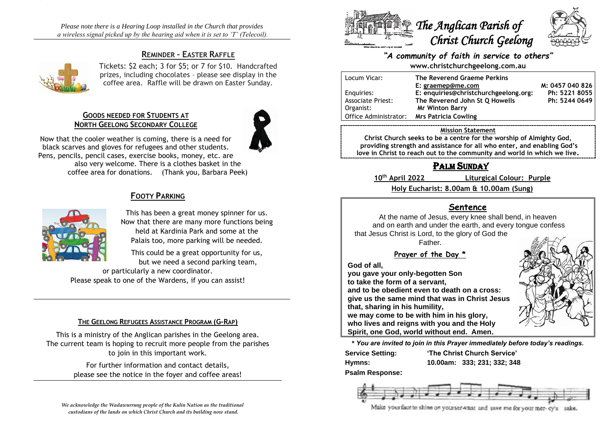*Please note there is a Hearing Loop installed in the Church that provides a wireless signal picked up by the hearing aid when it is set to 'T' (Telecoil).*

# **REMINDER – EASTER RAFFLE**



Tickets: \$2 each; 3 for \$5; or 7 for \$10. Handcrafted prizes, including chocolates – please see display in the coffee area. Raffle will be drawn on Easter Sunday.

### **GOODS NEEDED FOR STUDENTS AT NORTH GEELONG SECONDARY COLLEGE**



Now that the cooler weather is coming, there is a need for black scarves and gloves for refugees and other students. Pens, pencils, pencil cases, exercise books, money, etc. are also very welcome. There is a clothes basket in the coffee area for donations. (Thank you, Barbara Peek)

# **FOOTY PARKING**



This has been a great money spinner for us. Now that there are many more functions being held at Kardinia Park and some at the Palais too, more parking will be needed.

This could be a great opportunity for us, but we need a second parking team,

or particularly a new coordinator. Please speak to one of the Wardens, if you can assist!

### **THE GEELONG REFUGEES ASSISTANCE PROGRAM (G-RAP)**

This is a ministry of the Anglican parishes in the Geelong area. The current team is hoping to recruit more people from the parishes to join in this important work.

> For further information and contact details, please see the notice in the foyer and coffee areas!



# *"A community of faith in service to others"* **www.christchurchgeelong.com.au**

| Locum Vicar:             | The Reverend Graeme Perkins           |                 |
|--------------------------|---------------------------------------|-----------------|
|                          | E: graemep@me.com                     | M: 0457 040 826 |
| Enguiries:               | E: enquiries@christchurchgeelong.org: | Ph: 5221 8055   |
| <b>Associate Priest:</b> | The Reverend John St Q Howells        | Ph: 5244 0649   |
| Organist:                | <b>Mr Winton Barry</b>                |                 |
| Office Administrator:    | <b>Mrs Patricia Cowling</b>           |                 |
|                          |                                       |                 |

#### **Mission Statement**

**Christ Church seeks to be a centre for the worship of Almighty God, providing strength and assistance for all who enter, and enabling God's love in Christ to reach out to the community and world in which we live.**

# PALM SUNDAY

**10th April 2022 Liturgical Colour: Purple**

**Holy Eucharist: 8.00am & 10.00am (Sung)**

# **Sentence**

At the name of Jesus, every knee shall bend, in heaven and on earth and under the earth, and every tongue confess that Jesus Christ is Lord, to the glory of God the

Father.

**Prayer of the Day \***

**God of all,**

**you gave your only-begotten Son to take the form of a servant, and to be obedient even to death on a cross: give us the same mind that was in Christ Jesus that, sharing in his humility, we may come to be with him in his glory,**

**who lives and reigns with you and the Holy Spirit, one God, world without end. Amen.**

**\*** *You are invited to join in this Prayer immediately before today's readings.*

**Service Setting: 'The Christ Church Service'**

**Hymns: 10.00am: 333; 231; 332; 348**

**Psalm Response:**



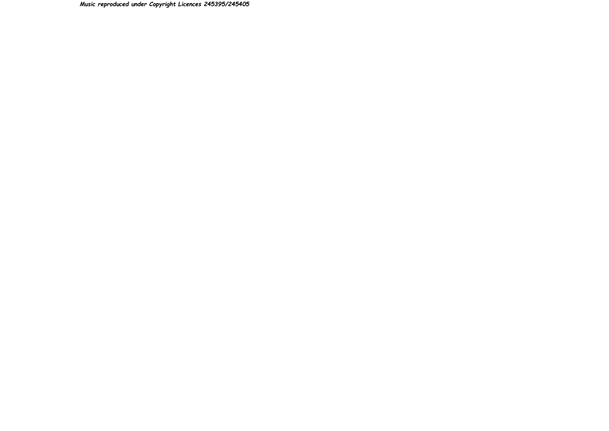*Music reproduced under Copyright Licences 245395/245405*